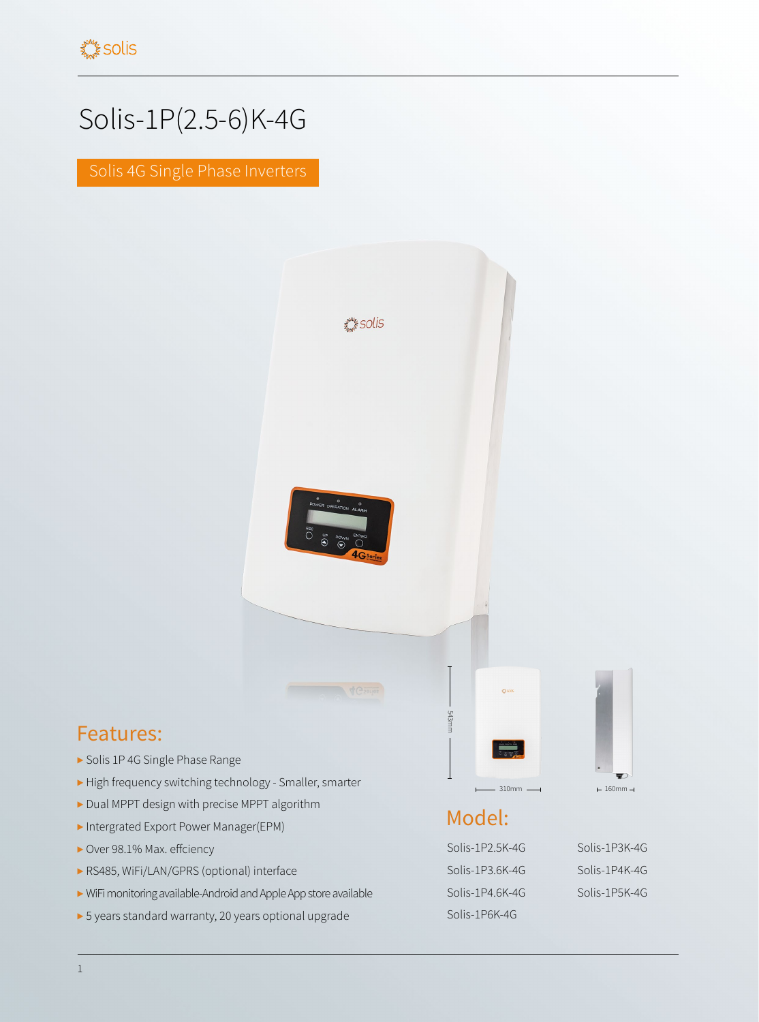## Solis-1P(2.5-6)K-4G

Solis 4G Single Phase Inverters



## Features:

- ▶ Solis 1P 4G Single Phase Range
- ▶ High frequency switching technology Smaller, smarter
- ▶ Dual MPPT design with precise MPPT algorithm
- ▶ Intergrated Export Power Manager(EPM)
- ▶ Over 98.1% Max. effciency
- ▶ RS485, WiFi/LAN/GPRS (optional) interface
- ▶ WiFi monitoring available-Android and Apple App store available
- ▶ 5 years standard warranty, 20 years optional upgrade

## Model:

543mm

Solis-1P2.5K-4G Solis-1P3K-4G Solis-1P3.6K-4G Solis-1P4K-4G Solis-1P4.6K-4G Solis-1P5K-4G Solis-1P6K-4G

 $-310$ mm  $-4$   $-160$ mm  $-1$